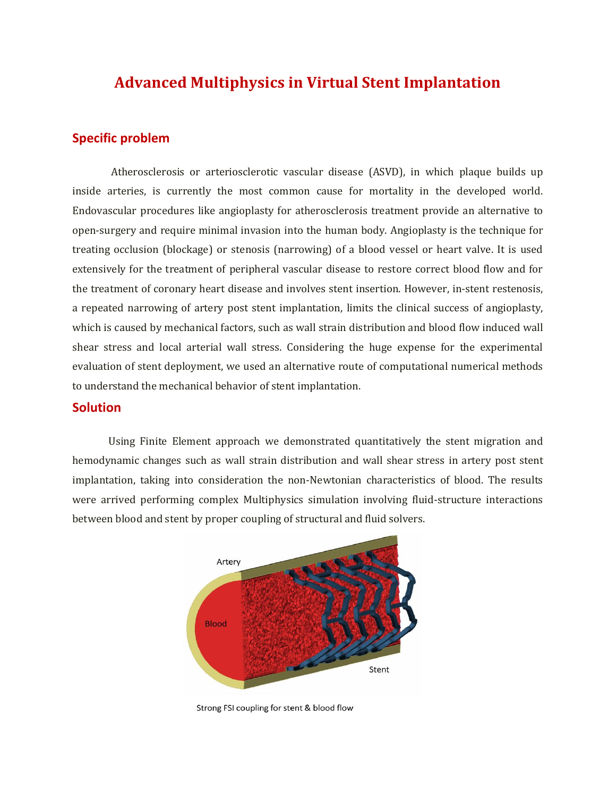## **Advanced Multiphysics in Virtual Stent Implantation**

## **Specific problem**

Atherosclerosis or arteriosclerotic vascular disease (ASVD), in which plaque builds up inside arteries, is currently the most common cause for mortality in the developed world. Endovascular procedures like angioplasty for atherosclerosis treatment provide an alternative to open-surgery and require minimal invasion into the human body. Angioplasty is the technique for treating occlusion (blockage) or stenosis (narrowing) of a blood vessel or heart valve. It is used extensively for the treatment of peripheral vascular disease to restore correct blood flow and for the treatment of coronary heart disease and involves stent insertion. However, in-stent restenosis, a repeated narrowing of artery post stent implantation, limits the clinical success of angioplasty, which is caused by mechanical factors, such as wall strain distribution and blood flow induced wall shear stress and local arterial wall stress. Considering the huge expense for the experimental evaluation of stent deployment, we used an alternative route of computational numerical methods to understand the mechanical behavior of stent implantation.

## **Solution**

Using Finite Element approach we demonstrated quantitatively the stent migration and hemodynamic changes such as wall strain distribution and wall shear stress in artery post stent implantation, taking into consideration the non-Newtonian characteristics of blood. The results were arrived performing complex Multiphysics simulation involving fluid-structure interactions between blood and stent by proper coupling of structural and fluid solvers.



Strong FSI coupling for stent & blood flow